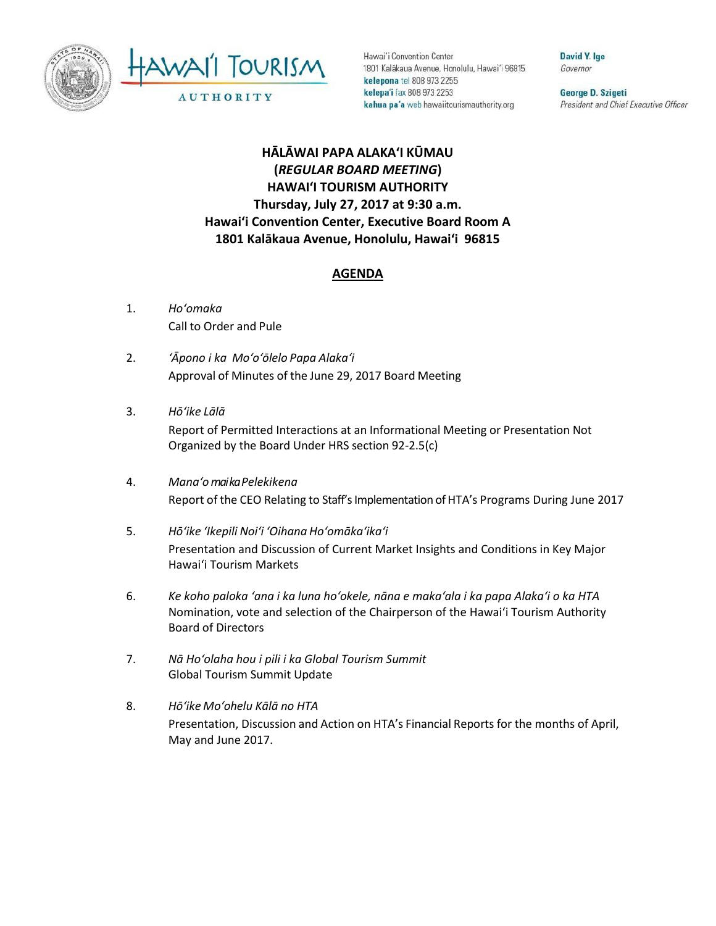



Hawai'i Convention Center 1801 Kalakaua Avenue, Honolulu, Hawai'i 96815 kelepona tel 808 973 2255 kelepa'i fax 808 973 2253 kahua pa'a web hawaiitourismauthority.org

David Y. Ige Governor

George D. Szigeti President and Chief Executive Officer

## **HĀLĀWAI PAPA ALAKAʻI KŪMAU (***REGULAR BOARD MEETING***) HAWAI'I TOURISM AUTHORITY Thursday, July 27, 2017 at 9:30 a.m. Hawai'i Convention Center, Executive Board Room A 1801 Kalākaua Avenue, Honolulu, Hawai'i 96815**

## **AGENDA**

- 1. *Ho'omaka* Call to Order and Pule
- 2. *'Āpono i ka Mo'o'ōlelo Papa Alaka'i* Approval of Minutes of the June 29, 2017 Board Meeting
- 3. *Hō'ike Lālā* Report of Permitted Interactions at an Informational Meeting or Presentation Not Organized by the Board Under HRS section 92-2.5(c)
- 4. *Mana'omai ka Pelekikena* Report of the CEO Relating to Staff's Implementation of HTA's Programs During June 2017
- 5. *Hō'ike 'Ikepili Noi'i 'Oihana Ho'omāka'ika'i* Presentation and Discussion of Current Market Insights and Conditions in Key Major Hawai'i Tourism Markets
- 6. *Ke koho paloka ʻana i ka luna hoʻokele, nāna e makaʻala i ka papa Alakaʻi o ka HTA* Nomination, vote and selection of the Chairperson of the Hawai'i Tourism Authority Board of Directors
- 7. *Nā Hoʻolaha hou i pili i ka Global Tourism Summit* Global Tourism Summit Update
- 8. *Hō'ike Mo'ohelu Kālā no HTA* Presentation, Discussion and Action on HTA's Financial Reports for the months of April, May and June 2017.